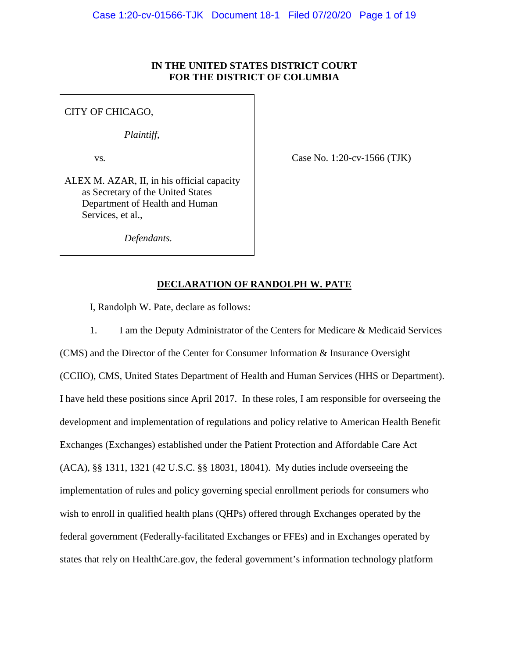### **IN THE UNITED STATES DISTRICT COURT FOR THE DISTRICT OF COLUMBIA**

### CITY OF CHICAGO,

*Plaintiff*,

vs*.*

Case No. 1:20-cv-1566 (TJK)

ALEX M. AZAR, II, in his official capacity as Secretary of the United States Department of Health and Human Services, et al.,

*Defendants.*

### **DECLARATION OF RANDOLPH W. PATE**

I, Randolph W. Pate, declare as follows:

1. I am the Deputy Administrator of the Centers for Medicare & Medicaid Services (CMS) and the Director of the Center for Consumer Information & Insurance Oversight (CCIIO), CMS, United States Department of Health and Human Services (HHS or Department). I have held these positions since April 2017. In these roles, I am responsible for overseeing the development and implementation of regulations and policy relative to American Health Benefit Exchanges (Exchanges) established under the Patient Protection and Affordable Care Act (ACA), §§ 1311, 1321 (42 U.S.C. §§ 18031, 18041). My duties include overseeing the implementation of rules and policy governing special enrollment periods for consumers who wish to enroll in qualified health plans (QHPs) offered through Exchanges operated by the federal government (Federally-facilitated Exchanges or FFEs) and in Exchanges operated by states that rely on HealthCare.gov, the federal government's information technology platform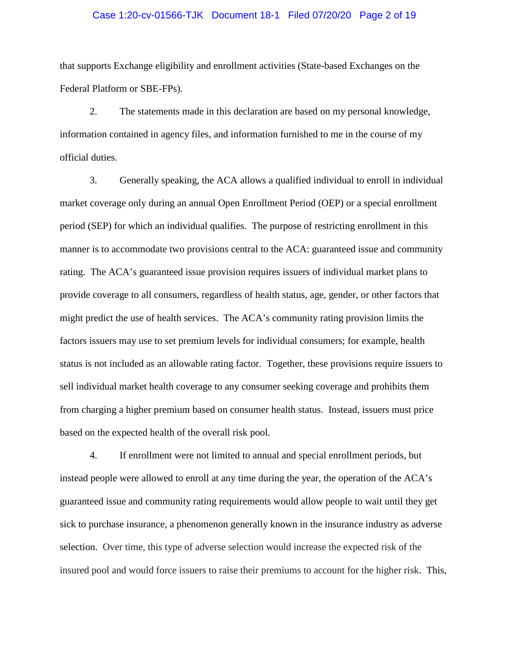#### Case 1:20-cv-01566-TJK Document 18-1 Filed 07/20/20 Page 2 of 19

that supports Exchange eligibility and enrollment activities (State-based Exchanges on the Federal Platform or SBE-FPs).

2. The statements made in this declaration are based on my personal knowledge, information contained in agency files, and information furnished to me in the course of my official duties.

3. Generally speaking, the ACA allows a qualified individual to enroll in individual market coverage only during an annual Open Enrollment Period (OEP) or a special enrollment period (SEP) for which an individual qualifies. The purpose of restricting enrollment in this manner is to accommodate two provisions central to the ACA: guaranteed issue and community rating. The ACA's guaranteed issue provision requires issuers of individual market plans to provide coverage to all consumers, regardless of health status, age, gender, or other factors that might predict the use of health services. The ACA's community rating provision limits the factors issuers may use to set premium levels for individual consumers; for example, health status is not included as an allowable rating factor. Together, these provisions require issuers to sell individual market health coverage to any consumer seeking coverage and prohibits them from charging a higher premium based on consumer health status. Instead, issuers must price based on the expected health of the overall risk pool.

4. If enrollment were not limited to annual and special enrollment periods, but instead people were allowed to enroll at any time during the year, the operation of the ACA's guaranteed issue and community rating requirements would allow people to wait until they get sick to purchase insurance, a phenomenon generally known in the insurance industry as adverse selection. Over time, this type of adverse selection would increase the expected risk of the insured pool and would force issuers to raise their premiums to account for the higher risk. This,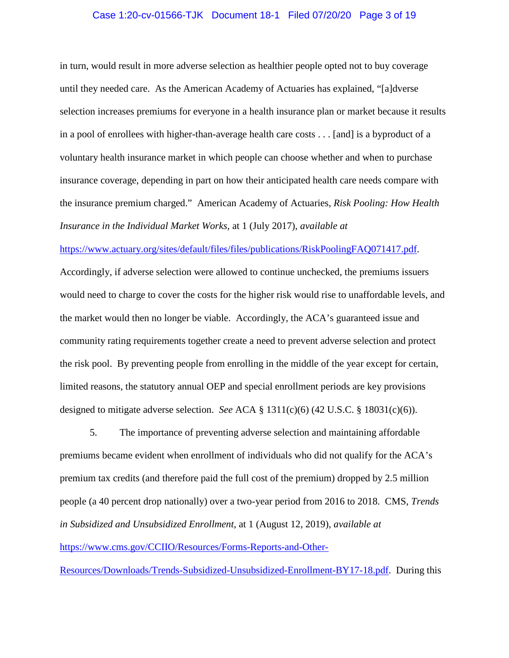#### Case 1:20-cv-01566-TJK Document 18-1 Filed 07/20/20 Page 3 of 19

in turn, would result in more adverse selection as healthier people opted not to buy coverage until they needed care. As the American Academy of Actuaries has explained, "[a]dverse selection increases premiums for everyone in a health insurance plan or market because it results in a pool of enrollees with higher-than-average health care costs . . . [and] is a byproduct of a voluntary health insurance market in which people can choose whether and when to purchase insurance coverage, depending in part on how their anticipated health care needs compare with the insurance premium charged." American Academy of Actuaries, *Risk Pooling: How Health Insurance in the Individual Market Works,* at 1 (July 2017), *available at*

https://www.actuary.org/sites/default/files/files/publications/RiskPoolingFAQ071417.pdf.

Accordingly, if adverse selection were allowed to continue unchecked, the premiums issuers would need to charge to cover the costs for the higher risk would rise to unaffordable levels, and the market would then no longer be viable. Accordingly, the ACA's guaranteed issue and community rating requirements together create a need to prevent adverse selection and protect the risk pool. By preventing people from enrolling in the middle of the year except for certain, limited reasons, the statutory annual OEP and special enrollment periods are key provisions designed to mitigate adverse selection. *See* ACA § 1311(c)(6) (42 U.S.C. § 18031(c)(6)).

5. The importance of preventing adverse selection and maintaining affordable premiums became evident when enrollment of individuals who did not qualify for the ACA's premium tax credits (and therefore paid the full cost of the premium) dropped by 2.5 million people (a 40 percent drop nationally) over a two-year period from 2016 to 2018. CMS, *Trends in Subsidized and Unsubsidized Enrollment*, at 1 (August 12, 2019), *available at*  https://www.cms.gov/CCIIO/Resources/Forms-Reports-and-Other-

Resources/Downloads/Trends-Subsidized-Unsubsidized-Enrollment-BY17-18.pdf. During this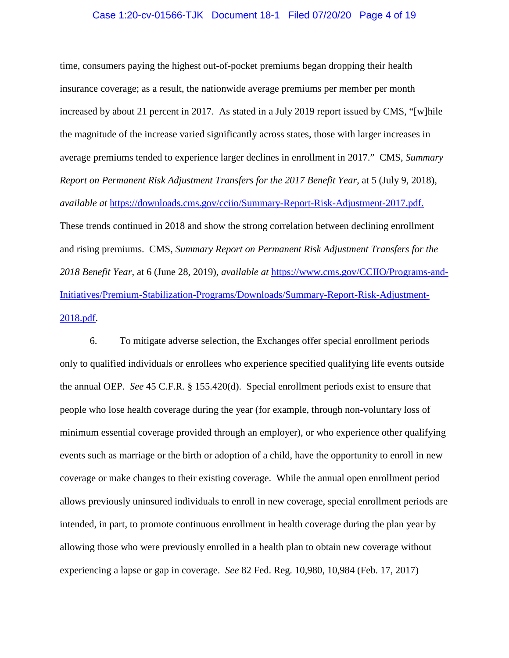#### Case 1:20-cv-01566-TJK Document 18-1 Filed 07/20/20 Page 4 of 19

time, consumers paying the highest out-of-pocket premiums began dropping their health insurance coverage; as a result, the nationwide average premiums per member per month increased by about 21 percent in 2017. As stated in a July 2019 report issued by CMS, "[w]hile the magnitude of the increase varied significantly across states, those with larger increases in average premiums tended to experience larger declines in enrollment in 2017." CMS, *Summary Report on Permanent Risk Adjustment Transfers for the 2017 Benefit Year*, at 5 (July 9, 2018), *available at* https://downloads.cms.gov/cciio/Summary-Report-Risk-Adjustment-2017.pdf. These trends continued in 2018 and show the strong correlation between declining enrollment and rising premiums. CMS, *Summary Report on Permanent Risk Adjustment Transfers for the 2018 Benefit Year*, at 6 (June 28, 2019), *available at* https://www.cms.gov/CCIIO/Programs-and-Initiatives/Premium-Stabilization-Programs/Downloads/Summary-Report-Risk-Adjustment-2018.pdf.

6. To mitigate adverse selection, the Exchanges offer special enrollment periods only to qualified individuals or enrollees who experience specified qualifying life events outside the annual OEP. *See* 45 C.F.R. § 155.420(d). Special enrollment periods exist to ensure that people who lose health coverage during the year (for example, through non-voluntary loss of minimum essential coverage provided through an employer), or who experience other qualifying events such as marriage or the birth or adoption of a child, have the opportunity to enroll in new coverage or make changes to their existing coverage. While the annual open enrollment period allows previously uninsured individuals to enroll in new coverage, special enrollment periods are intended, in part, to promote continuous enrollment in health coverage during the plan year by allowing those who were previously enrolled in a health plan to obtain new coverage without experiencing a lapse or gap in coverage. *See* 82 Fed. Reg. 10,980, 10,984 (Feb. 17, 2017)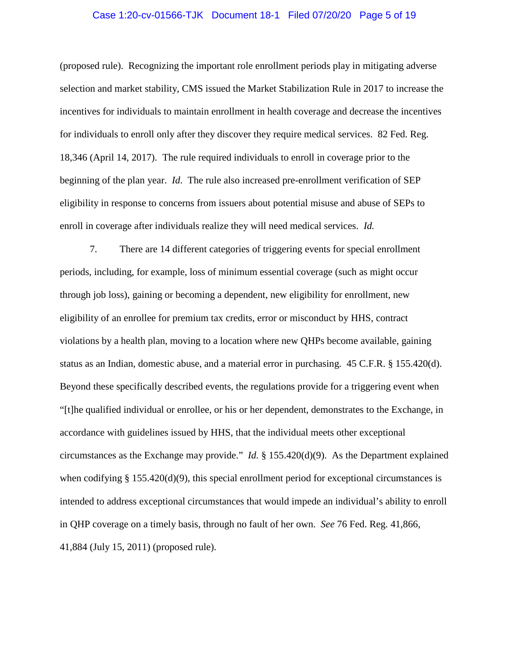#### Case 1:20-cv-01566-TJK Document 18-1 Filed 07/20/20 Page 5 of 19

(proposed rule). Recognizing the important role enrollment periods play in mitigating adverse selection and market stability, CMS issued the Market Stabilization Rule in 2017 to increase the incentives for individuals to maintain enrollment in health coverage and decrease the incentives for individuals to enroll only after they discover they require medical services. 82 Fed. Reg. 18,346 (April 14, 2017). The rule required individuals to enroll in coverage prior to the beginning of the plan year. *Id*. The rule also increased pre-enrollment verification of SEP eligibility in response to concerns from issuers about potential misuse and abuse of SEPs to enroll in coverage after individuals realize they will need medical services. *Id.*

7. There are 14 different categories of triggering events for special enrollment periods, including, for example, loss of minimum essential coverage (such as might occur through job loss), gaining or becoming a dependent, new eligibility for enrollment, new eligibility of an enrollee for premium tax credits, error or misconduct by HHS, contract violations by a health plan, moving to a location where new QHPs become available, gaining status as an Indian, domestic abuse, and a material error in purchasing. 45 C.F.R. § 155.420(d). Beyond these specifically described events, the regulations provide for a triggering event when "[t]he qualified individual or enrollee, or his or her dependent, demonstrates to the Exchange, in accordance with guidelines issued by HHS, that the individual meets other exceptional circumstances as the Exchange may provide." *Id.* § 155.420(d)(9). As the Department explained when codifying § 155.420(d)(9), this special enrollment period for exceptional circumstances is intended to address exceptional circumstances that would impede an individual's ability to enroll in QHP coverage on a timely basis, through no fault of her own. *See* 76 Fed. Reg. 41,866, 41,884 (July 15, 2011) (proposed rule).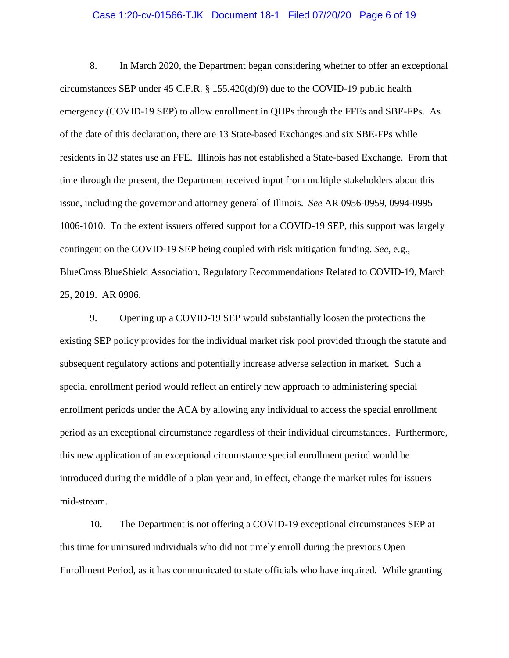#### Case 1:20-cv-01566-TJK Document 18-1 Filed 07/20/20 Page 6 of 19

8. In March 2020, the Department began considering whether to offer an exceptional circumstances SEP under 45 C.F.R. § 155.420(d)(9) due to the COVID-19 public health emergency (COVID-19 SEP) to allow enrollment in QHPs through the FFEs and SBE-FPs. As of the date of this declaration, there are 13 State-based Exchanges and six SBE-FPs while residents in 32 states use an FFE. Illinois has not established a State-based Exchange. From that time through the present, the Department received input from multiple stakeholders about this issue, including the governor and attorney general of Illinois. *See* AR 0956-0959, 0994-0995 1006-1010. To the extent issuers offered support for a COVID-19 SEP, this support was largely contingent on the COVID-19 SEP being coupled with risk mitigation funding. *See*, e.g., BlueCross BlueShield Association, Regulatory Recommendations Related to COVID-19, March 25, 2019. AR 0906.

9. Opening up a COVID-19 SEP would substantially loosen the protections the existing SEP policy provides for the individual market risk pool provided through the statute and subsequent regulatory actions and potentially increase adverse selection in market. Such a special enrollment period would reflect an entirely new approach to administering special enrollment periods under the ACA by allowing any individual to access the special enrollment period as an exceptional circumstance regardless of their individual circumstances. Furthermore, this new application of an exceptional circumstance special enrollment period would be introduced during the middle of a plan year and, in effect, change the market rules for issuers mid-stream.

10. The Department is not offering a COVID-19 exceptional circumstances SEP at this time for uninsured individuals who did not timely enroll during the previous Open Enrollment Period, as it has communicated to state officials who have inquired. While granting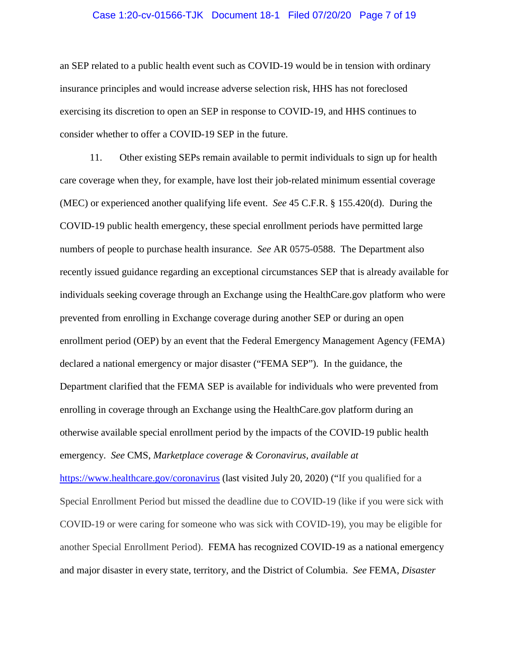#### Case 1:20-cv-01566-TJK Document 18-1 Filed 07/20/20 Page 7 of 19

an SEP related to a public health event such as COVID-19 would be in tension with ordinary insurance principles and would increase adverse selection risk, HHS has not foreclosed exercising its discretion to open an SEP in response to COVID-19, and HHS continues to consider whether to offer a COVID-19 SEP in the future.

11. Other existing SEPs remain available to permit individuals to sign up for health care coverage when they, for example, have lost their job-related minimum essential coverage (MEC) or experienced another qualifying life event. *See* 45 C.F.R. § 155.420(d). During the COVID-19 public health emergency, these special enrollment periods have permitted large numbers of people to purchase health insurance. *See* AR 0575-0588. The Department also recently issued guidance regarding an exceptional circumstances SEP that is already available for individuals seeking coverage through an Exchange using the HealthCare.gov platform who were prevented from enrolling in Exchange coverage during another SEP or during an open enrollment period (OEP) by an event that the Federal Emergency Management Agency (FEMA) declared a national emergency or major disaster ("FEMA SEP"). In the guidance, the Department clarified that the FEMA SEP is available for individuals who were prevented from enrolling in coverage through an Exchange using the HealthCare.gov platform during an otherwise available special enrollment period by the impacts of the COVID-19 public health emergency. *See* CMS, *Marketplace coverage & Coronavirus*, *available at* 

https://www.healthcare.gov/coronavirus (last visited July 20, 2020) ("If you qualified for a Special Enrollment Period but missed the deadline due to COVID-19 (like if you were sick with COVID-19 or were caring for someone who was sick with COVID-19), you may be eligible for another Special Enrollment Period). FEMA has recognized COVID-19 as a national emergency and major disaster in every state, territory, and the District of Columbia. *See* FEMA, *Disaster*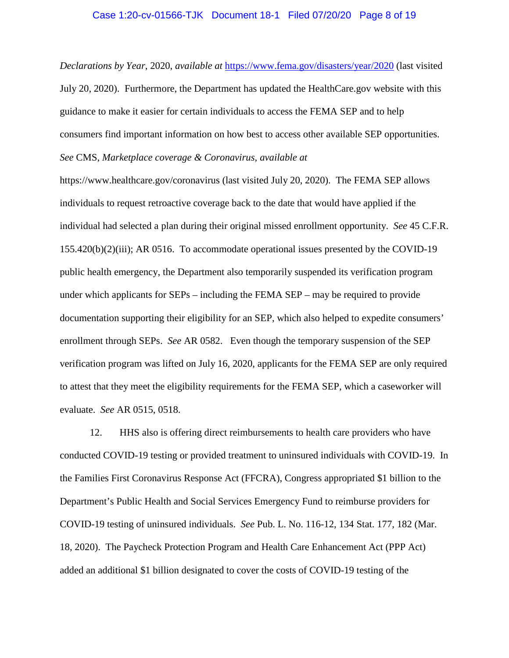#### Case 1:20-cv-01566-TJK Document 18-1 Filed 07/20/20 Page 8 of 19

*Declarations by Year*, 2020, *available at* https://www.fema.gov/disasters/year/2020 (last visited July 20, 2020). Furthermore, the Department has updated the HealthCare.gov website with this guidance to make it easier for certain individuals to access the FEMA SEP and to help consumers find important information on how best to access other available SEP opportunities. *See* CMS, *Marketplace coverage & Coronavirus*, *available at* 

https://www.healthcare.gov/coronavirus (last visited July 20, 2020). The FEMA SEP allows individuals to request retroactive coverage back to the date that would have applied if the individual had selected a plan during their original missed enrollment opportunity. *See* 45 C.F.R. 155.420(b)(2)(iii); AR 0516. To accommodate operational issues presented by the COVID-19 public health emergency, the Department also temporarily suspended its verification program under which applicants for SEPs – including the FEMA SEP – may be required to provide documentation supporting their eligibility for an SEP, which also helped to expedite consumers' enrollment through SEPs.*See* AR 0582. Even though the temporary suspension of the SEP verification program was lifted on July 16, 2020, applicants for the FEMA SEP are only required to attest that they meet the eligibility requirements for the FEMA SEP, which a caseworker will evaluate. *See* AR 0515, 0518.

12. HHS also is offering direct reimbursements to health care providers who have conducted COVID-19 testing or provided treatment to uninsured individuals with COVID-19. In the Families First Coronavirus Response Act (FFCRA), Congress appropriated \$1 billion to the Department's Public Health and Social Services Emergency Fund to reimburse providers for COVID-19 testing of uninsured individuals. *See* Pub. L. No. 116-12, 134 Stat. 177, 182 (Mar. 18, 2020). The Paycheck Protection Program and Health Care Enhancement Act (PPP Act) added an additional \$1 billion designated to cover the costs of COVID-19 testing of the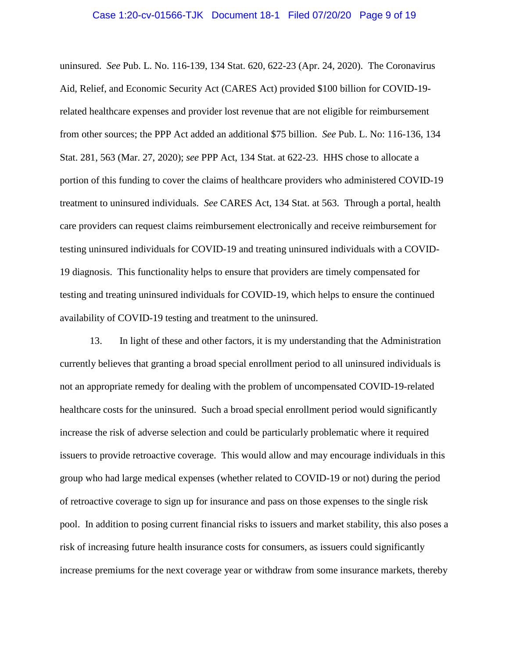#### Case 1:20-cv-01566-TJK Document 18-1 Filed 07/20/20 Page 9 of 19

uninsured. *See* Pub. L. No. 116-139, 134 Stat. 620, 622-23 (Apr. 24, 2020). The Coronavirus Aid, Relief, and Economic Security Act (CARES Act) provided \$100 billion for COVID-19 related healthcare expenses and provider lost revenue that are not eligible for reimbursement from other sources; the PPP Act added an additional \$75 billion. *See* Pub. L. No: 116-136, 134 Stat. 281, 563 (Mar. 27, 2020); *see* PPP Act, 134 Stat. at 622-23. HHS chose to allocate a portion of this funding to cover the claims of healthcare providers who administered COVID-19 treatment to uninsured individuals. *See* CARES Act, 134 Stat. at 563. Through a portal, health care providers can request claims reimbursement electronically and receive reimbursement for testing uninsured individuals for COVID-19 and treating uninsured individuals with a COVID-19 diagnosis. This functionality helps to ensure that providers are timely compensated for testing and treating uninsured individuals for COVID-19, which helps to ensure the continued availability of COVID-19 testing and treatment to the uninsured.

13. In light of these and other factors, it is my understanding that the Administration currently believes that granting a broad special enrollment period to all uninsured individuals is not an appropriate remedy for dealing with the problem of uncompensated COVID-19-related healthcare costs for the uninsured. Such a broad special enrollment period would significantly increase the risk of adverse selection and could be particularly problematic where it required issuers to provide retroactive coverage. This would allow and may encourage individuals in this group who had large medical expenses (whether related to COVID-19 or not) during the period of retroactive coverage to sign up for insurance and pass on those expenses to the single risk pool. In addition to posing current financial risks to issuers and market stability, this also poses a risk of increasing future health insurance costs for consumers, as issuers could significantly increase premiums for the next coverage year or withdraw from some insurance markets, thereby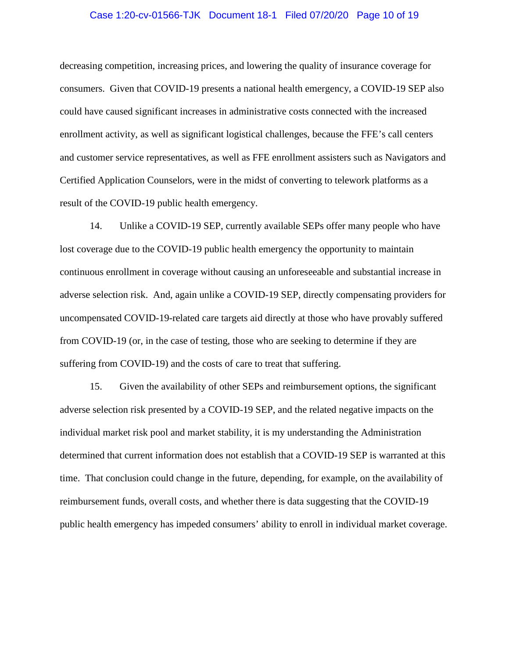#### Case 1:20-cv-01566-TJK Document 18-1 Filed 07/20/20 Page 10 of 19

decreasing competition, increasing prices, and lowering the quality of insurance coverage for consumers. Given that COVID-19 presents a national health emergency, a COVID-19 SEP also could have caused significant increases in administrative costs connected with the increased enrollment activity, as well as significant logistical challenges, because the FFE's call centers and customer service representatives, as well as FFE enrollment assisters such as Navigators and Certified Application Counselors, were in the midst of converting to telework platforms as a result of the COVID-19 public health emergency.

14. Unlike a COVID-19 SEP, currently available SEPs offer many people who have lost coverage due to the COVID-19 public health emergency the opportunity to maintain continuous enrollment in coverage without causing an unforeseeable and substantial increase in adverse selection risk. And, again unlike a COVID-19 SEP, directly compensating providers for uncompensated COVID-19-related care targets aid directly at those who have provably suffered from COVID-19 (or, in the case of testing, those who are seeking to determine if they are suffering from COVID-19) and the costs of care to treat that suffering.

15. Given the availability of other SEPs and reimbursement options, the significant adverse selection risk presented by a COVID-19 SEP, and the related negative impacts on the individual market risk pool and market stability, it is my understanding the Administration determined that current information does not establish that a COVID-19 SEP is warranted at this time. That conclusion could change in the future, depending, for example, on the availability of reimbursement funds, overall costs, and whether there is data suggesting that the COVID-19 public health emergency has impeded consumers' ability to enroll in individual market coverage.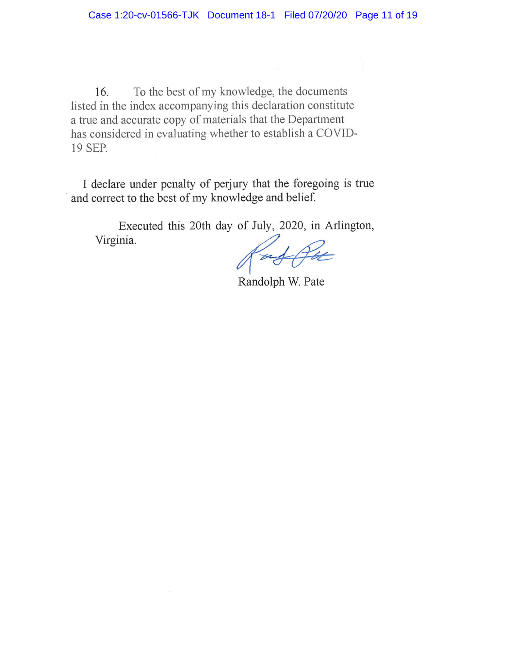16. To the best of my knowledge, the documents listed in the index accompanying this declaration constitute a true and accurate copy of materials that the Department has considered in evaluating whether to establish a COVID-19 SEP.

I declare under penalty of perjury that the foregoing is true and correct to the best of my knowledge and belief.

Executed this 20th day of July, 2020, in Arlington, Virginia.

Randolph W. Pate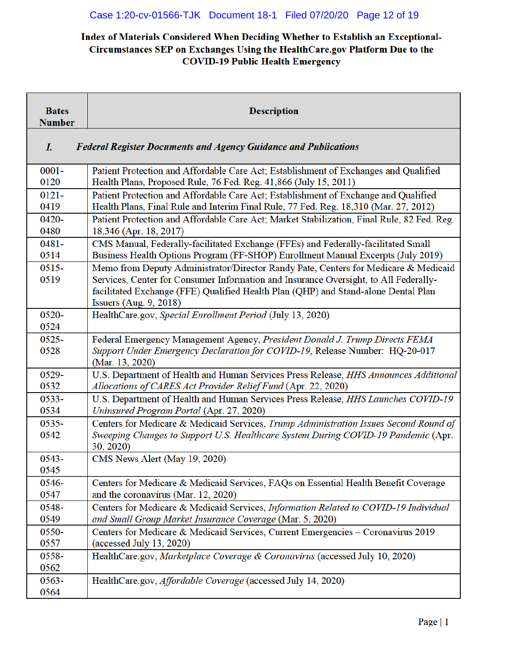| <b>Bates</b><br><b>Number</b> | <b>Description</b>                                                                                                                                                                                                                                                                             |
|-------------------------------|------------------------------------------------------------------------------------------------------------------------------------------------------------------------------------------------------------------------------------------------------------------------------------------------|
| I.                            | <b>Federal Register Documents and Agency Guidance and Publications</b>                                                                                                                                                                                                                         |
| $0001 -$                      | Patient Protection and Affordable Care Act; Establishment of Exchanges and Qualified                                                                                                                                                                                                           |
| 0120                          | Health Plans, Proposed Rule, 76 Fed. Reg. 41,866 (July 15, 2011)                                                                                                                                                                                                                               |
| $0121 -$                      | Patient Protection and Affordable Care Act; Establishment of Exchange and Qualified                                                                                                                                                                                                            |
| 0419                          | Health Plans, Final Rule and Interim Final Rule, 77 Fed. Reg. 18,310 (Mar. 27, 2012)                                                                                                                                                                                                           |
| 0420-                         | Patient Protection and Affordable Care Act; Market Stabilization, Final Rule, 82 Fed. Reg.                                                                                                                                                                                                     |
| 0480                          | 18,346 (Apr. 18, 2017)                                                                                                                                                                                                                                                                         |
| $0481 -$                      | CMS Manual, Federally-facilitated Exchange (FFEs) and Federally-facilitated Small                                                                                                                                                                                                              |
| 0514                          | Business Health Options Program (FF-SHOP) Enrollment Manual Excerpts (July 2019)                                                                                                                                                                                                               |
| $0515 -$<br>0519              | Memo from Deputy Administrator/Director Randy Pate, Centers for Medicare & Medicaid<br>Services, Center for Consumer Information and Insurance Oversight, to All Federally-<br>facilitated Exchange (FFE) Qualified Health Plan (QHP) and Stand-alone Dental Plan<br>Issuers (Aug. $9, 2018$ ) |
| 0520-<br>0524                 | HealthCare.gov, Special Enrollment Period (July 13, 2020)                                                                                                                                                                                                                                      |
| $0525 -$<br>0528              | Federal Emergency Management Agency, President Donald J. Trump Directs FEMA<br>Support Under Emergency Declaration for COVID-19, Release Number: HQ-20-017<br>(Mar. 13, 2020)                                                                                                                  |
| 0529-                         | U.S. Department of Health and Human Services Press Release, HHS Announces Additional                                                                                                                                                                                                           |
| 0532                          | Allocations of CARES Act Provider Relief Fund (Apr. 22, 2020)                                                                                                                                                                                                                                  |
| 0533-                         | U.S. Department of Health and Human Services Press Release, HHS Launches COVID-19                                                                                                                                                                                                              |
| 0534                          | Uninsured Program Portal (Apr. 27, 2020)                                                                                                                                                                                                                                                       |
| $0535 -$<br>0542              | Centers for Medicare & Medicaid Services, Trump Administration Issues Second Round of<br>Sweeping Changes to Support U.S. Healthcare System During COVID-19 Pandemic (Apr.<br>30, 2020)                                                                                                        |
| $0543 -$<br>0545              | CMS News Alert (May 19, 2020)                                                                                                                                                                                                                                                                  |
| 0546-                         | Centers for Medicare & Medicaid Services, FAQs on Essential Health Benefit Coverage                                                                                                                                                                                                            |
| 0547                          | and the coronavirus (Mar. 12, 2020)                                                                                                                                                                                                                                                            |
| 0548-                         | Centers for Medicare & Medicaid Services, Information Related to COVID-19 Individual                                                                                                                                                                                                           |
| 0549                          | and Small Group Market Insurance Coverage (Mar. 5, 2020)                                                                                                                                                                                                                                       |
| 0550-                         | Centers for Medicare & Medicaid Services, Current Emergencies - Coronavirus 2019                                                                                                                                                                                                               |
| 0557                          | (accessed July 13, 2020)                                                                                                                                                                                                                                                                       |
| 0558-<br>0562                 | HealthCare.gov, Marketplace Coverage & Coronavirus (accessed July 10, 2020)                                                                                                                                                                                                                    |
| $0563 -$<br>0564              | HealthCare.gov, Affordable Coverage (accessed July 14, 2020)                                                                                                                                                                                                                                   |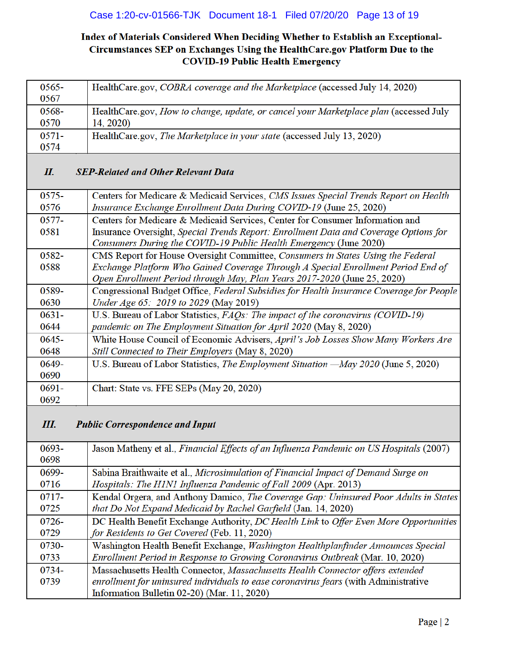### Case 1:20-cv-01566-TJK Document 18-1 Filed 07/20/20 Page 13 of 19

| $0565 -$<br>0567 | HealthCare.gov, COBRA coverage and the Marketplace (accessed July 14, 2020)                                                                                  |
|------------------|--------------------------------------------------------------------------------------------------------------------------------------------------------------|
| 0568-            | HealthCare.gov, How to change, update, or cancel your Marketplace plan (accessed July                                                                        |
| 0570             | 14, 2020)                                                                                                                                                    |
| $0571 -$         | HealthCare.gov, The Marketplace in your state (accessed July 13, 2020)                                                                                       |
| 0574             |                                                                                                                                                              |
| П.               | <b>SEP-Related and Other Relevant Data</b>                                                                                                                   |
| $0575 -$<br>0576 | Centers for Medicare & Medicaid Services, CMS Issues Special Trends Report on Health<br>Insurance Exchange Enrollment Data During COVID-19 (June 25, 2020)   |
| $0577 -$         | Centers for Medicare & Medicaid Services, Center for Consumer Information and                                                                                |
| 0581             | Insurance Oversight, Special Trends Report: Enrollment Data and Coverage Options for<br>Consumers During the COVID-19 Public Health Emergency (June 2020)    |
| 0582-            | CMS Report for House Oversight Committee, Consumers in States Using the Federal                                                                              |
| 0588             | Exchange Platform Who Gained Coverage Through A Special Enrollment Period End of<br>Open Enrollment Period through May, Plan Years 2017-2020 (June 25, 2020) |
| 0589-            | Congressional Budget Office, Federal Subsidies for Health Insurance Coverage for People                                                                      |
| 0630             | Under Age 65: 2019 to 2029 (May 2019)                                                                                                                        |
| $0631 -$         | U.S. Bureau of Labor Statistics, FAQs: The impact of the coronavirus (COVID-19)                                                                              |
| 0644             | pandemic on The Employment Situation for April 2020 (May 8, 2020)                                                                                            |
| 0645-            | White House Council of Economic Advisers, April's Job Losses Show Many Workers Are                                                                           |
| 0648             | Still Connected to Their Employers (May 8, 2020)                                                                                                             |
| 0649-<br>0690    | U.S. Bureau of Labor Statistics, The Employment Situation -May 2020 (June 5, 2020)                                                                           |
| 0691-            | Chart: State vs. FFE SEPs (May 20, 2020)                                                                                                                     |
| 0692             |                                                                                                                                                              |
| Ш.               | <b>Public Correspondence and Input</b>                                                                                                                       |
| 0693-            | Jason Matheny et al., Financial Effects of an Influenza Pandemic on US Hospitals (2007)                                                                      |
| 0698             |                                                                                                                                                              |
| 0699-            | Sabina Braithwaite et al., Microsimulation of Financial Impact of Demand Surge on                                                                            |
| 0716             | Hospitals: The H1N1 Influenza Pandemic of Fall 2009 (Apr. 2013)                                                                                              |
| $0717 -$         | Kendal Orgera, and Anthony Damico, The Coverage Gap: Uninsured Poor Adults in States                                                                         |
| 0725             | that Do Not Expand Medicaid by Rachel Garfield (Jan. 14, 2020)                                                                                               |

| $0726 -$ | DC Health Benefit Exchange Authority, DC Health Link to Offer Even More Opportunities |
|----------|---------------------------------------------------------------------------------------|
| 0729     | for Residents to Get Covered (Feb. 11, 2020)                                          |
| $0730 -$ | Washington Health Benefit Exchange, Washington Healthplanfinder Announces Special     |
| 0733     | Enrollment Period in Response to Growing Coronavirus Outbreak (Mar. 10, 2020)         |
| $0734 -$ | Massachusetts Health Connector, Massachusetts Health Connector offers extended        |
| 0739     | enrollment for uninsured individuals to ease coronavirus fears (with Administrative   |
|          | Information Bulletin 02-20) (Mar. 11, 2020)                                           |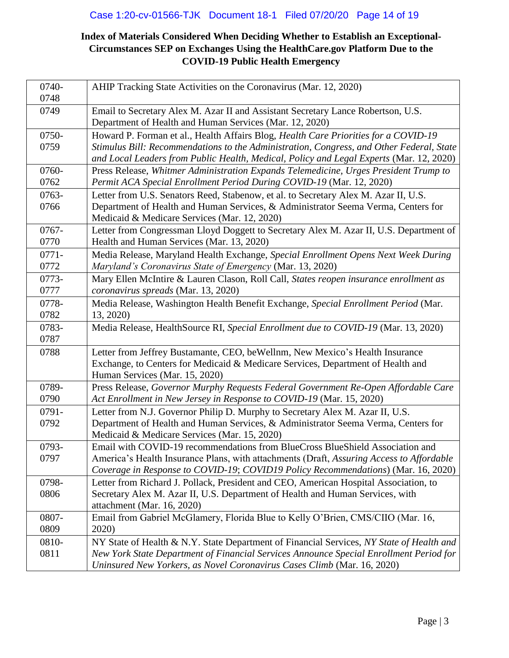| 0740-    | AHIP Tracking State Activities on the Coronavirus (Mar. 12, 2020)                                           |
|----------|-------------------------------------------------------------------------------------------------------------|
| 0748     |                                                                                                             |
| 0749     | Email to Secretary Alex M. Azar II and Assistant Secretary Lance Robertson, U.S.                            |
|          | Department of Health and Human Services (Mar. 12, 2020)                                                     |
| 0750-    | Howard P. Forman et al., Health Affairs Blog, Health Care Priorities for a COVID-19                         |
| 0759     | Stimulus Bill: Recommendations to the Administration, Congress, and Other Federal, State                    |
|          | and Local Leaders from Public Health, Medical, Policy and Legal Experts (Mar. 12, 2020)                     |
| 0760-    | Press Release, Whitmer Administration Expands Telemedicine, Urges President Trump to                        |
| 0762     | Permit ACA Special Enrollment Period During COVID-19 (Mar. 12, 2020)                                        |
| 0763-    | Letter from U.S. Senators Reed, Stabenow, et al. to Secretary Alex M. Azar II, U.S.                         |
| 0766     | Department of Health and Human Services, & Administrator Seema Verma, Centers for                           |
|          | Medicaid & Medicare Services (Mar. 12, 2020)                                                                |
| $0767 -$ | Letter from Congressman Lloyd Doggett to Secretary Alex M. Azar II, U.S. Department of                      |
| 0770     | Health and Human Services (Mar. 13, 2020)                                                                   |
| $0771 -$ | Media Release, Maryland Health Exchange, Special Enrollment Opens Next Week During                          |
| 0772     | Maryland's Coronavirus State of Emergency (Mar. 13, 2020)                                                   |
| 0773-    | Mary Ellen McIntire & Lauren Clason, Roll Call, States reopen insurance enrollment as                       |
| 0777     | coronavirus spreads (Mar. 13, 2020)                                                                         |
| 0778-    | Media Release, Washington Health Benefit Exchange, Special Enrollment Period (Mar.                          |
| 0782     | 13, 2020)                                                                                                   |
| 0783-    | Media Release, HealthSource RI, Special Enrollment due to COVID-19 (Mar. 13, 2020)                          |
| 0787     |                                                                                                             |
| 0788     | Letter from Jeffrey Bustamante, CEO, beWellnm, New Mexico's Health Insurance                                |
|          | Exchange, to Centers for Medicaid & Medicare Services, Department of Health and                             |
|          | Human Services (Mar. 15, 2020)                                                                              |
| 0789-    | Press Release, Governor Murphy Requests Federal Government Re-Open Affordable Care                          |
| 0790     | Act Enrollment in New Jersey in Response to COVID-19 (Mar. 15, 2020)                                        |
| 0791-    | Letter from N.J. Governor Philip D. Murphy to Secretary Alex M. Azar II, U.S.                               |
| 0792     | Department of Health and Human Services, & Administrator Seema Verma, Centers for                           |
|          | Medicaid & Medicare Services (Mar. 15, 2020)                                                                |
| 0793-    | Email with COVID-19 recommendations from BlueCross BlueShield Association and                               |
| 0797     | America's Health Insurance Plans, with attachments (Draft, Assuring Access to Affordable                    |
|          | Coverage in Response to COVID-19; COVID19 Policy Recommendations) (Mar. 16, 2020)                           |
| 0798-    | Letter from Richard J. Pollack, President and CEO, American Hospital Association, to                        |
| 0806     | Secretary Alex M. Azar II, U.S. Department of Health and Human Services, with<br>attachment (Mar. 16, 2020) |
| 0807-    | Email from Gabriel McGlamery, Florida Blue to Kelly O'Brien, CMS/CIIO (Mar. 16,                             |
| 0809     | 2020)                                                                                                       |
| 0810-    | NY State of Health & N.Y. State Department of Financial Services, NY State of Health and                    |
| 0811     | New York State Department of Financial Services Announce Special Enrollment Period for                      |
|          | Uninsured New Yorkers, as Novel Coronavirus Cases Climb (Mar. 16, 2020)                                     |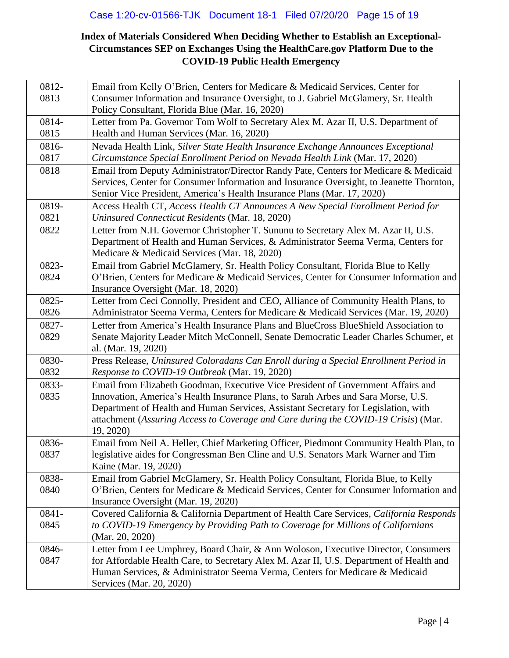| 0812-         | Email from Kelly O'Brien, Centers for Medicare & Medicaid Services, Center for                                                                                              |
|---------------|-----------------------------------------------------------------------------------------------------------------------------------------------------------------------------|
| 0813          | Consumer Information and Insurance Oversight, to J. Gabriel McGlamery, Sr. Health                                                                                           |
|               | Policy Consultant, Florida Blue (Mar. 16, 2020)                                                                                                                             |
| 0814-         | Letter from Pa. Governor Tom Wolf to Secretary Alex M. Azar II, U.S. Department of                                                                                          |
| 0815          | Health and Human Services (Mar. 16, 2020)                                                                                                                                   |
| 0816-         | Nevada Health Link, Silver State Health Insurance Exchange Announces Exceptional                                                                                            |
| 0817          | Circumstance Special Enrollment Period on Nevada Health Link (Mar. 17, 2020)                                                                                                |
| 0818          | Email from Deputy Administrator/Director Randy Pate, Centers for Medicare & Medicaid                                                                                        |
|               | Services, Center for Consumer Information and Insurance Oversight, to Jeanette Thornton,                                                                                    |
|               | Senior Vice President, America's Health Insurance Plans (Mar. 17, 2020)                                                                                                     |
| 0819-         | Access Health CT, Access Health CT Announces A New Special Enrollment Period for                                                                                            |
| 0821          | Uninsured Connecticut Residents (Mar. 18, 2020)                                                                                                                             |
| 0822          | Letter from N.H. Governor Christopher T. Sununu to Secretary Alex M. Azar II, U.S.                                                                                          |
|               | Department of Health and Human Services, & Administrator Seema Verma, Centers for                                                                                           |
|               | Medicare & Medicaid Services (Mar. 18, 2020)                                                                                                                                |
| 0823-         | Email from Gabriel McGlamery, Sr. Health Policy Consultant, Florida Blue to Kelly                                                                                           |
| 0824          | O'Brien, Centers for Medicare & Medicaid Services, Center for Consumer Information and                                                                                      |
|               | Insurance Oversight (Mar. 18, 2020)                                                                                                                                         |
| 0825-         | Letter from Ceci Connolly, President and CEO, Alliance of Community Health Plans, to                                                                                        |
| 0826          | Administrator Seema Verma, Centers for Medicare & Medicaid Services (Mar. 19, 2020)                                                                                         |
| 0827-         | Letter from America's Health Insurance Plans and BlueCross BlueShield Association to                                                                                        |
| 0829          | Senate Majority Leader Mitch McConnell, Senate Democratic Leader Charles Schumer, et                                                                                        |
|               | al. (Mar. 19, 2020)                                                                                                                                                         |
| 0830-         | Press Release, Uninsured Coloradans Can Enroll during a Special Enrollment Period in                                                                                        |
| 0832          | Response to COVID-19 Outbreak (Mar. 19, 2020)                                                                                                                               |
| 0833-         | Email from Elizabeth Goodman, Executive Vice President of Government Affairs and                                                                                            |
| 0835          | Innovation, America's Health Insurance Plans, to Sarah Arbes and Sara Morse, U.S.                                                                                           |
|               | Department of Health and Human Services, Assistant Secretary for Legislation, with                                                                                          |
|               | attachment (Assuring Access to Coverage and Care during the COVID-19 Crisis) (Mar.                                                                                          |
|               | 19, 2020)                                                                                                                                                                   |
| 0836-         | Email from Neil A. Heller, Chief Marketing Officer, Piedmont Community Health Plan, to                                                                                      |
| 0837          | legislative aides for Congressman Ben Cline and U.S. Senators Mark Warner and Tim                                                                                           |
|               | Kaine (Mar. 19, 2020)                                                                                                                                                       |
| 0838-         | Email from Gabriel McGlamery, Sr. Health Policy Consultant, Florida Blue, to Kelly                                                                                          |
| 0840          | O'Brien, Centers for Medicare & Medicaid Services, Center for Consumer Information and<br>Insurance Oversight (Mar. 19, 2020)                                               |
|               |                                                                                                                                                                             |
| 0841-<br>0845 | Covered California & California Department of Health Care Services, California Responds<br>to COVID-19 Emergency by Providing Path to Coverage for Millions of Californians |
|               | (Mar. 20, 2020)                                                                                                                                                             |
| 0846-         | Letter from Lee Umphrey, Board Chair, & Ann Woloson, Executive Director, Consumers                                                                                          |
| 0847          | for Affordable Health Care, to Secretary Alex M. Azar II, U.S. Department of Health and                                                                                     |
|               | Human Services, & Administrator Seema Verma, Centers for Medicare & Medicaid                                                                                                |
|               | Services (Mar. 20, 2020)                                                                                                                                                    |
|               |                                                                                                                                                                             |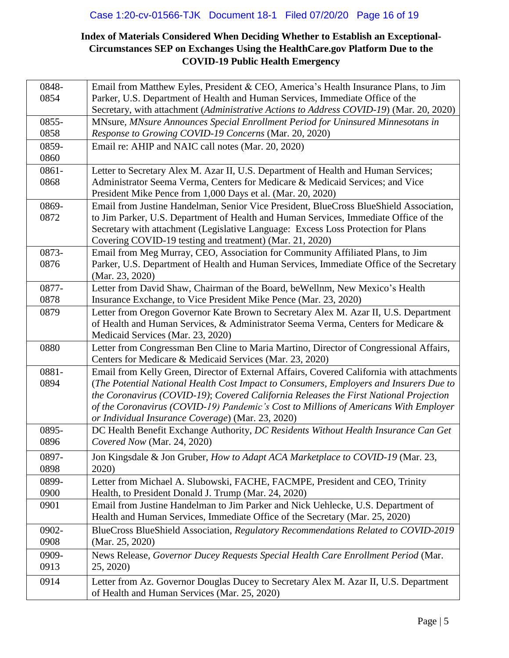| 0848-    | Email from Matthew Eyles, President & CEO, America's Health Insurance Plans, to Jim                                                                |
|----------|----------------------------------------------------------------------------------------------------------------------------------------------------|
| 0854     | Parker, U.S. Department of Health and Human Services, Immediate Office of the                                                                      |
|          | Secretary, with attachment (Administrative Actions to Address COVID-19) (Mar. 20, 2020)                                                            |
| 0855-    | MNsure, MNsure Announces Special Enrollment Period for Uninsured Minnesotans in                                                                    |
| 0858     | Response to Growing COVID-19 Concerns (Mar. 20, 2020)                                                                                              |
| 0859-    | Email re: AHIP and NAIC call notes (Mar. 20, 2020)                                                                                                 |
| 0860     |                                                                                                                                                    |
| $0861 -$ | Letter to Secretary Alex M. Azar II, U.S. Department of Health and Human Services;                                                                 |
| 0868     | Administrator Seema Verma, Centers for Medicare & Medicaid Services; and Vice                                                                      |
|          | President Mike Pence from 1,000 Days et al. (Mar. 20, 2020)                                                                                        |
| 0869-    | Email from Justine Handelman, Senior Vice President, BlueCross BlueShield Association,                                                             |
| 0872     | to Jim Parker, U.S. Department of Health and Human Services, Immediate Office of the                                                               |
|          | Secretary with attachment (Legislative Language: Excess Loss Protection for Plans                                                                  |
|          | Covering COVID-19 testing and treatment) (Mar. 21, 2020)                                                                                           |
| 0873-    | Email from Meg Murray, CEO, Association for Community Affiliated Plans, to Jim                                                                     |
| 0876     | Parker, U.S. Department of Health and Human Services, Immediate Office of the Secretary<br>(Mar. 23, 2020)                                         |
| 0877-    | Letter from David Shaw, Chairman of the Board, be Wellnm, New Mexico's Health                                                                      |
| 0878     | Insurance Exchange, to Vice President Mike Pence (Mar. 23, 2020)                                                                                   |
| 0879     | Letter from Oregon Governor Kate Brown to Secretary Alex M. Azar II, U.S. Department                                                               |
|          | of Health and Human Services, & Administrator Seema Verma, Centers for Medicare &                                                                  |
|          | Medicaid Services (Mar. 23, 2020)                                                                                                                  |
| 0880     | Letter from Congressman Ben Cline to Maria Martino, Director of Congressional Affairs,<br>Centers for Medicare & Medicaid Services (Mar. 23, 2020) |
| 0881-    | Email from Kelly Green, Director of External Affairs, Covered California with attachments                                                          |
| 0894     | (The Potential National Health Cost Impact to Consumers, Employers and Insurers Due to                                                             |
|          | the Coronavirus (COVID-19); Covered California Releases the First National Projection                                                              |
|          | of the Coronavirus (COVID-19) Pandemic's Cost to Millions of Americans With Employer                                                               |
|          | or Individual Insurance Coverage) (Mar. 23, 2020)                                                                                                  |
| 0895-    | DC Health Benefit Exchange Authority, DC Residents Without Health Insurance Can Get                                                                |
| 0896     | Covered Now (Mar. 24, 2020)                                                                                                                        |
| 0897-    | Jon Kingsdale & Jon Gruber, How to Adapt ACA Marketplace to COVID-19 (Mar. 23,                                                                     |
| 0898     | 2020)                                                                                                                                              |
| 0899-    | Letter from Michael A. Slubowski, FACHE, FACMPE, President and CEO, Trinity                                                                        |
| 0900     | Health, to President Donald J. Trump (Mar. 24, 2020)                                                                                               |
| 0901     | Email from Justine Handelman to Jim Parker and Nick Uehlecke, U.S. Department of                                                                   |
|          | Health and Human Services, Immediate Office of the Secretary (Mar. 25, 2020)                                                                       |
| 0902-    | BlueCross BlueShield Association, Regulatory Recommendations Related to COVID-2019                                                                 |
| 0908     | (Mar. 25, 2020)                                                                                                                                    |
| 0909-    | News Release, Governor Ducey Requests Special Health Care Enrollment Period (Mar.                                                                  |
| 0913     | 25, 2020)                                                                                                                                          |
| 0914     | Letter from Az. Governor Douglas Ducey to Secretary Alex M. Azar II, U.S. Department                                                               |
|          | of Health and Human Services (Mar. 25, 2020)                                                                                                       |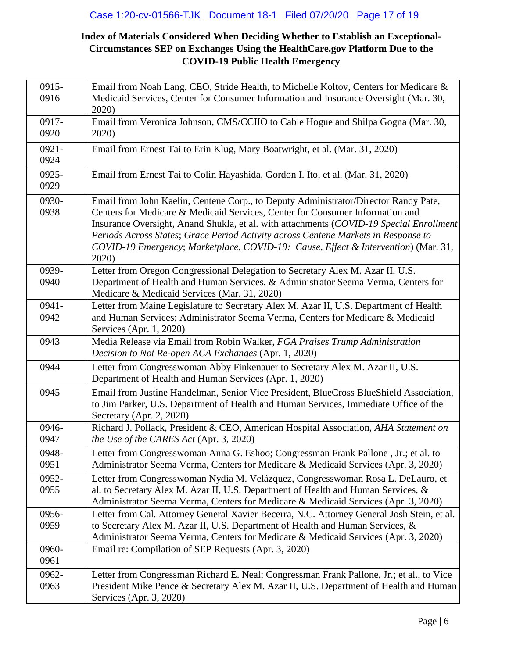| 0915-<br>0916    | Email from Noah Lang, CEO, Stride Health, to Michelle Koltov, Centers for Medicare &<br>Medicaid Services, Center for Consumer Information and Insurance Oversight (Mar. 30,                                                                                                                                                                                                                                                                         |
|------------------|------------------------------------------------------------------------------------------------------------------------------------------------------------------------------------------------------------------------------------------------------------------------------------------------------------------------------------------------------------------------------------------------------------------------------------------------------|
|                  | 2020)                                                                                                                                                                                                                                                                                                                                                                                                                                                |
| 0917-            | Email from Veronica Johnson, CMS/CCIIO to Cable Hogue and Shilpa Gogna (Mar. 30,                                                                                                                                                                                                                                                                                                                                                                     |
| 0920             | 2020)                                                                                                                                                                                                                                                                                                                                                                                                                                                |
| $0921 -$<br>0924 | Email from Ernest Tai to Erin Klug, Mary Boatwright, et al. (Mar. 31, 2020)                                                                                                                                                                                                                                                                                                                                                                          |
| 0925-<br>0929    | Email from Ernest Tai to Colin Hayashida, Gordon I. Ito, et al. (Mar. 31, 2020)                                                                                                                                                                                                                                                                                                                                                                      |
| 0930-<br>0938    | Email from John Kaelin, Centene Corp., to Deputy Administrator/Director Randy Pate,<br>Centers for Medicare & Medicaid Services, Center for Consumer Information and<br>Insurance Oversight, Anand Shukla, et al. with attachments (COVID-19 Special Enrollment<br>Periods Across States; Grace Period Activity across Centene Markets in Response to<br>COVID-19 Emergency; Marketplace, COVID-19: Cause, Effect & Intervention) (Mar. 31,<br>2020) |
| 0939-<br>0940    | Letter from Oregon Congressional Delegation to Secretary Alex M. Azar II, U.S.<br>Department of Health and Human Services, & Administrator Seema Verma, Centers for<br>Medicare & Medicaid Services (Mar. 31, 2020)                                                                                                                                                                                                                                  |
| $0941 -$         | Letter from Maine Legislature to Secretary Alex M. Azar II, U.S. Department of Health                                                                                                                                                                                                                                                                                                                                                                |
| 0942             | and Human Services; Administrator Seema Verma, Centers for Medicare & Medicaid<br>Services (Apr. 1, 2020)                                                                                                                                                                                                                                                                                                                                            |
| 0943             | Media Release via Email from Robin Walker, FGA Praises Trump Administration<br>Decision to Not Re-open ACA Exchanges (Apr. 1, 2020)                                                                                                                                                                                                                                                                                                                  |
| 0944             | Letter from Congresswoman Abby Finkenauer to Secretary Alex M. Azar II, U.S.<br>Department of Health and Human Services (Apr. 1, 2020)                                                                                                                                                                                                                                                                                                               |
| 0945             | Email from Justine Handelman, Senior Vice President, BlueCross BlueShield Association,<br>to Jim Parker, U.S. Department of Health and Human Services, Immediate Office of the<br>Secretary (Apr. 2, 2020)                                                                                                                                                                                                                                           |
| 0946-<br>0947    | Richard J. Pollack, President & CEO, American Hospital Association, AHA Statement on<br>the Use of the CARES Act (Apr. 3, 2020)                                                                                                                                                                                                                                                                                                                      |
| 0948-<br>0951    | Letter from Congresswoman Anna G. Eshoo; Congressman Frank Pallone, Jr.; et al. to<br>Administrator Seema Verma, Centers for Medicare & Medicaid Services (Apr. 3, 2020)                                                                                                                                                                                                                                                                             |
| 0952-            | Letter from Congresswoman Nydia M. Velázquez, Congresswoman Rosa L. DeLauro, et                                                                                                                                                                                                                                                                                                                                                                      |
| 0955             | al. to Secretary Alex M. Azar II, U.S. Department of Health and Human Services, &<br>Administrator Seema Verma, Centers for Medicare & Medicaid Services (Apr. 3, 2020)                                                                                                                                                                                                                                                                              |
| 0956-            | Letter from Cal. Attorney General Xavier Becerra, N.C. Attorney General Josh Stein, et al.                                                                                                                                                                                                                                                                                                                                                           |
| 0959             | to Secretary Alex M. Azar II, U.S. Department of Health and Human Services, &<br>Administrator Seema Verma, Centers for Medicare & Medicaid Services (Apr. 3, 2020)                                                                                                                                                                                                                                                                                  |
| 0960-            | Email re: Compilation of SEP Requests (Apr. 3, 2020)                                                                                                                                                                                                                                                                                                                                                                                                 |
| 0961             |                                                                                                                                                                                                                                                                                                                                                                                                                                                      |
| 0962-<br>0963    | Letter from Congressman Richard E. Neal; Congressman Frank Pallone, Jr.; et al., to Vice<br>President Mike Pence & Secretary Alex M. Azar II, U.S. Department of Health and Human<br>Services (Apr. 3, 2020)                                                                                                                                                                                                                                         |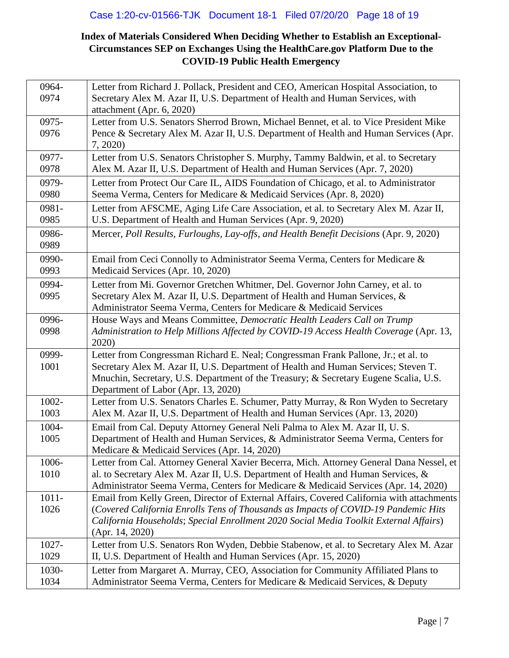| 0964-<br>0974 | Letter from Richard J. Pollack, President and CEO, American Hospital Association, to<br>Secretary Alex M. Azar II, U.S. Department of Health and Human Services, with                                                                |
|---------------|--------------------------------------------------------------------------------------------------------------------------------------------------------------------------------------------------------------------------------------|
|               | attachment (Apr. 6, 2020)                                                                                                                                                                                                            |
| 0975-         | Letter from U.S. Senators Sherrod Brown, Michael Bennet, et al. to Vice President Mike                                                                                                                                               |
| 0976          | Pence & Secretary Alex M. Azar II, U.S. Department of Health and Human Services (Apr.<br>7, 2020)                                                                                                                                    |
| 0977-<br>0978 | Letter from U.S. Senators Christopher S. Murphy, Tammy Baldwin, et al. to Secretary<br>Alex M. Azar II, U.S. Department of Health and Human Services (Apr. 7, 2020)                                                                  |
| 0979-<br>0980 | Letter from Protect Our Care IL, AIDS Foundation of Chicago, et al. to Administrator<br>Seema Verma, Centers for Medicare & Medicaid Services (Apr. 8, 2020)                                                                         |
| 0981-<br>0985 | Letter from AFSCME, Aging Life Care Association, et al. to Secretary Alex M. Azar II,<br>U.S. Department of Health and Human Services (Apr. 9, 2020)                                                                                 |
| 0986-<br>0989 | Mercer, Poll Results, Furloughs, Lay-offs, and Health Benefit Decisions (Apr. 9, 2020)                                                                                                                                               |
| 0990-<br>0993 | Email from Ceci Connolly to Administrator Seema Verma, Centers for Medicare &<br>Medicaid Services (Apr. 10, 2020)                                                                                                                   |
| 0994-<br>0995 | Letter from Mi. Governor Gretchen Whitmer, Del. Governor John Carney, et al. to<br>Secretary Alex M. Azar II, U.S. Department of Health and Human Services, &<br>Administrator Seema Verma, Centers for Medicare & Medicaid Services |
| 0996-         | House Ways and Means Committee, Democratic Health Leaders Call on Trump                                                                                                                                                              |
| 0998          | Administration to Help Millions Affected by COVID-19 Access Health Coverage (Apr. 13,<br>2020)                                                                                                                                       |
| 0999-         | Letter from Congressman Richard E. Neal; Congressman Frank Pallone, Jr.; et al. to                                                                                                                                                   |
| 1001          | Secretary Alex M. Azar II, U.S. Department of Health and Human Services; Steven T.<br>Mnuchin, Secretary, U.S. Department of the Treasury; & Secretary Eugene Scalia, U.S.<br>Department of Labor (Apr. 13, 2020)                    |
| $1002 -$      | Letter from U.S. Senators Charles E. Schumer, Patty Murray, & Ron Wyden to Secretary                                                                                                                                                 |
| 1003          | Alex M. Azar II, U.S. Department of Health and Human Services (Apr. 13, 2020)                                                                                                                                                        |
| 1004-         | Email from Cal. Deputy Attorney General Neli Palma to Alex M. Azar II, U. S.                                                                                                                                                         |
| 1005          | Department of Health and Human Services, & Administrator Seema Verma, Centers for<br>Medicare & Medicaid Services (Apr. 14, 2020)                                                                                                    |
| 1006-         | Letter from Cal. Attorney General Xavier Becerra, Mich. Attorney General Dana Nessel, et                                                                                                                                             |
| 1010          | al. to Secretary Alex M. Azar II, U.S. Department of Health and Human Services, &<br>Administrator Seema Verma, Centers for Medicare & Medicaid Services (Apr. 14, 2020)                                                             |
| $1011 -$      | Email from Kelly Green, Director of External Affairs, Covered California with attachments                                                                                                                                            |
| 1026          | (Covered California Enrolls Tens of Thousands as Impacts of COVID-19 Pandemic Hits<br>California Households; Special Enrollment 2020 Social Media Toolkit External Affairs)<br>(Apr. 14, 2020)                                       |
| 1027-         | Letter from U.S. Senators Ron Wyden, Debbie Stabenow, et al. to Secretary Alex M. Azar                                                                                                                                               |
| 1029          | II, U.S. Department of Health and Human Services (Apr. 15, 2020)                                                                                                                                                                     |
| 1030-<br>1034 | Letter from Margaret A. Murray, CEO, Association for Community Affiliated Plans to<br>Administrator Seema Verma, Centers for Medicare & Medicaid Services, & Deputy                                                                  |